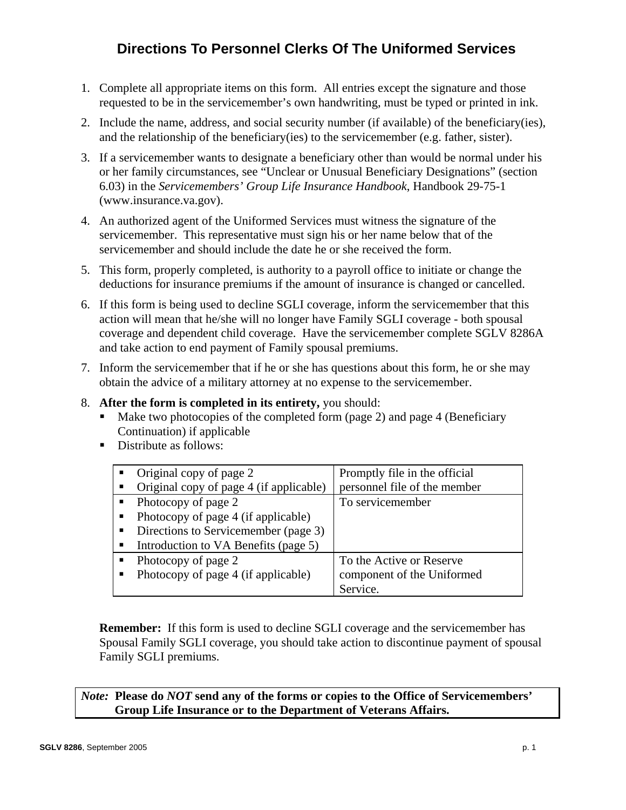## **Directions To Personnel Clerks Of The Uniformed Services**

- 1. Complete all appropriate items on this form. All entries except the signature and those requested to be in the servicemember's own handwriting, must be typed or printed in ink.
- 2. Include the name, address, and social security number (if available) of the beneficiary(ies), and the relationship of the beneficiary(ies) to the servicemember (e.g. father, sister).
- 3. If a servicemember wants to designate a beneficiary other than would be normal under his or her family circumstances, see "Unclear or Unusual Beneficiary Designations" (section 6.03) in the *Servicemembers' Group Life Insurance Handbook*, Handbook 29-75-1 (www.insurance.va.gov).
- 4. An authorized agent of the Uniformed Services must witness the signature of the servicemember. This representative must sign his or her name below that of the servicemember and should include the date he or she received the form.
- 5. This form, properly completed, is authority to a payroll office to initiate or change the deductions for insurance premiums if the amount of insurance is changed or cancelled.
- 6. If this form is being used to decline SGLI coverage, inform the servicemember that this action will mean that he/she will no longer have Family SGLI coverage - both spousal coverage and dependent child coverage. Have the servicemember complete SGLV 8286A and take action to end payment of Family spousal premiums.
- 7. Inform the servicemember that if he or she has questions about this form, he or she may obtain the advice of a military attorney at no expense to the servicemember.
- 8. **After the form is completed in its entirety,** you should:
	- Make two photocopies of the completed form (page 2) and page 4 (Beneficiary Continuation) if applicable
	- Distribute as follows:

| Original copy of page 2<br>Original copy of page 4 (if applicable) | Promptly file in the official<br>personnel file of the member |
|--------------------------------------------------------------------|---------------------------------------------------------------|
| Photocopy of page 2                                                | To servicemember                                              |
| Photocopy of page 4 (if applicable)                                |                                                               |
| Directions to Servicemember (page 3)                               |                                                               |
| Introduction to VA Benefits (page 5)                               |                                                               |
| Photocopy of page 2                                                | To the Active or Reserve                                      |
| Photocopy of page 4 (if applicable)                                | component of the Uniformed                                    |
|                                                                    | Service.                                                      |

**Remember:** If this form is used to decline SGLI coverage and the servicemember has Spousal Family SGLI coverage, you should take action to discontinue payment of spousal Family SGLI premiums.

*Note:* **Please do** *NOT* **send any of the forms or copies to the Office of Servicemembers' Group Life Insurance or to the Department of Veterans Affairs.**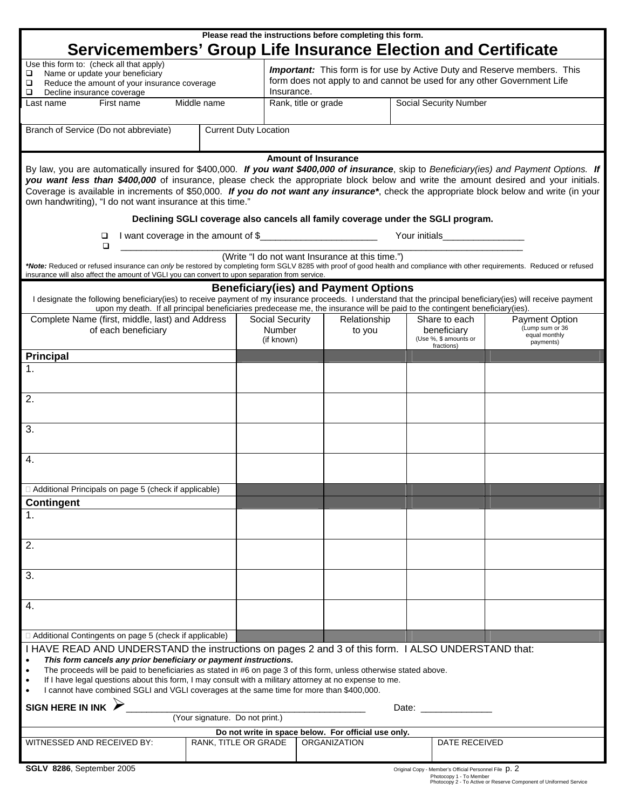| Please read the instructions before completing this form.<br>Servicemembers' Group Life Insurance Election and Certificate                                                                                                                                                                                                                                                                                                                                                                                                                                                |                                                                                                                            |                                         |                                                                                                                                                                          |                                                                                  |  |                                                       |                                                                        |  |  |
|---------------------------------------------------------------------------------------------------------------------------------------------------------------------------------------------------------------------------------------------------------------------------------------------------------------------------------------------------------------------------------------------------------------------------------------------------------------------------------------------------------------------------------------------------------------------------|----------------------------------------------------------------------------------------------------------------------------|-----------------------------------------|--------------------------------------------------------------------------------------------------------------------------------------------------------------------------|----------------------------------------------------------------------------------|--|-------------------------------------------------------|------------------------------------------------------------------------|--|--|
| Use this form to: (check all that apply)<br>Name or update your beneficiary<br>□<br>Reduce the amount of your insurance coverage<br>□<br>$\Box$<br>Decline insurance coverage                                                                                                                                                                                                                                                                                                                                                                                             |                                                                                                                            |                                         | <b>Important:</b> This form is for use by Active Duty and Reserve members. This<br>form does not apply to and cannot be used for any other Government Life<br>Insurance. |                                                                                  |  |                                                       |                                                                        |  |  |
| Middle name<br>First name<br>Last name                                                                                                                                                                                                                                                                                                                                                                                                                                                                                                                                    |                                                                                                                            |                                         | Rank, title or grade                                                                                                                                                     |                                                                                  |  |                                                       | <b>Social Security Number</b>                                          |  |  |
| Branch of Service (Do not abbreviate)                                                                                                                                                                                                                                                                                                                                                                                                                                                                                                                                     | <b>Current Duty Location</b>                                                                                               |                                         |                                                                                                                                                                          |                                                                                  |  |                                                       |                                                                        |  |  |
| <b>Amount of Insurance</b><br>By law, you are automatically insured for \$400,000. If you want \$400,000 of insurance, skip to Beneficiary(ies) and Payment Options. If<br>you want less than \$400,000 of insurance, please check the appropriate block below and write the amount desired and your initials.<br>Coverage is available in increments of \$50,000. If you do not want any insurance*, check the appropriate block below and write (in your<br>own handwriting), "I do not want insurance at this time."                                                   |                                                                                                                            |                                         |                                                                                                                                                                          |                                                                                  |  |                                                       |                                                                        |  |  |
|                                                                                                                                                                                                                                                                                                                                                                                                                                                                                                                                                                           |                                                                                                                            |                                         |                                                                                                                                                                          | Declining SGLI coverage also cancels all family coverage under the SGLI program. |  |                                                       |                                                                        |  |  |
| I want coverage in the amount of \$<br>□<br>$\Box$                                                                                                                                                                                                                                                                                                                                                                                                                                                                                                                        |                                                                                                                            |                                         |                                                                                                                                                                          |                                                                                  |  | Your initials___________________                      |                                                                        |  |  |
| (Write "I do not want Insurance at this time.")<br>*Note: Reduced or refused insurance can only be restored by completing form SGLV 8285 with proof of good health and compliance with other requirements. Reduced or refused<br>insurance will also affect the amount of VGLI you can convert to upon separation from service.                                                                                                                                                                                                                                           |                                                                                                                            |                                         |                                                                                                                                                                          |                                                                                  |  |                                                       |                                                                        |  |  |
| I designate the following beneficiary(ies) to receive payment of my insurance proceeds. I understand that the principal beneficiary(ies) will receive payment<br>upon my death. If all principal beneficiaries predecease me, the insurance will be paid to the contingent beneficiary(ies).                                                                                                                                                                                                                                                                              |                                                                                                                            |                                         |                                                                                                                                                                          | <b>Beneficiary (ies) and Payment Options</b>                                     |  |                                                       |                                                                        |  |  |
| Complete Name (first, middle, last) and Address<br>of each beneficiary                                                                                                                                                                                                                                                                                                                                                                                                                                                                                                    |                                                                                                                            | Social Security<br>Number<br>(if known) |                                                                                                                                                                          | Relationship<br>to you                                                           |  | Share to each<br>beneficiary<br>(Use %, \$ amounts or | <b>Payment Option</b><br>(Lump sum or 36<br>equal monthly<br>payments) |  |  |
| <b>Principal</b>                                                                                                                                                                                                                                                                                                                                                                                                                                                                                                                                                          |                                                                                                                            |                                         |                                                                                                                                                                          |                                                                                  |  | fractions)                                            |                                                                        |  |  |
| 1.                                                                                                                                                                                                                                                                                                                                                                                                                                                                                                                                                                        |                                                                                                                            |                                         |                                                                                                                                                                          |                                                                                  |  |                                                       |                                                                        |  |  |
|                                                                                                                                                                                                                                                                                                                                                                                                                                                                                                                                                                           |                                                                                                                            |                                         |                                                                                                                                                                          |                                                                                  |  |                                                       |                                                                        |  |  |
| 2.                                                                                                                                                                                                                                                                                                                                                                                                                                                                                                                                                                        |                                                                                                                            |                                         |                                                                                                                                                                          |                                                                                  |  |                                                       |                                                                        |  |  |
| 3.                                                                                                                                                                                                                                                                                                                                                                                                                                                                                                                                                                        |                                                                                                                            |                                         |                                                                                                                                                                          |                                                                                  |  |                                                       |                                                                        |  |  |
| 4.                                                                                                                                                                                                                                                                                                                                                                                                                                                                                                                                                                        |                                                                                                                            |                                         |                                                                                                                                                                          |                                                                                  |  |                                                       |                                                                        |  |  |
| Additional Principals on page 5 (check if applicable)                                                                                                                                                                                                                                                                                                                                                                                                                                                                                                                     |                                                                                                                            |                                         |                                                                                                                                                                          |                                                                                  |  |                                                       |                                                                        |  |  |
| <b>Contingent</b>                                                                                                                                                                                                                                                                                                                                                                                                                                                                                                                                                         |                                                                                                                            |                                         |                                                                                                                                                                          |                                                                                  |  |                                                       |                                                                        |  |  |
| 1.                                                                                                                                                                                                                                                                                                                                                                                                                                                                                                                                                                        |                                                                                                                            |                                         |                                                                                                                                                                          |                                                                                  |  |                                                       |                                                                        |  |  |
| 2.                                                                                                                                                                                                                                                                                                                                                                                                                                                                                                                                                                        |                                                                                                                            |                                         |                                                                                                                                                                          |                                                                                  |  |                                                       |                                                                        |  |  |
| 3.                                                                                                                                                                                                                                                                                                                                                                                                                                                                                                                                                                        |                                                                                                                            |                                         |                                                                                                                                                                          |                                                                                  |  |                                                       |                                                                        |  |  |
| 4.                                                                                                                                                                                                                                                                                                                                                                                                                                                                                                                                                                        |                                                                                                                            |                                         |                                                                                                                                                                          |                                                                                  |  |                                                       |                                                                        |  |  |
| □ Additional Contingents on page 5 (check if applicable)                                                                                                                                                                                                                                                                                                                                                                                                                                                                                                                  |                                                                                                                            |                                         |                                                                                                                                                                          |                                                                                  |  |                                                       |                                                                        |  |  |
| I HAVE READ AND UNDERSTAND the instructions on pages 2 and 3 of this form. I ALSO UNDERSTAND that:<br>This form cancels any prior beneficiary or payment instructions.<br>The proceeds will be paid to beneficiaries as stated in #6 on page 3 of this form, unless otherwise stated above.<br>If I have legal questions about this form, I may consult with a military attorney at no expense to me.<br>I cannot have combined SGLI and VGLI coverages at the same time for more than \$400,000.<br>SIGN HERE IN INK $\triangleright$<br>(Your signature. Do not print.) |                                                                                                                            |                                         |                                                                                                                                                                          |                                                                                  |  |                                                       |                                                                        |  |  |
| WITNESSED AND RECEIVED BY:                                                                                                                                                                                                                                                                                                                                                                                                                                                                                                                                                | Do not write in space below. For official use only.<br>RANK, TITLE OR GRADE<br><b>ORGANIZATION</b><br><b>DATE RECEIVED</b> |                                         |                                                                                                                                                                          |                                                                                  |  |                                                       |                                                                        |  |  |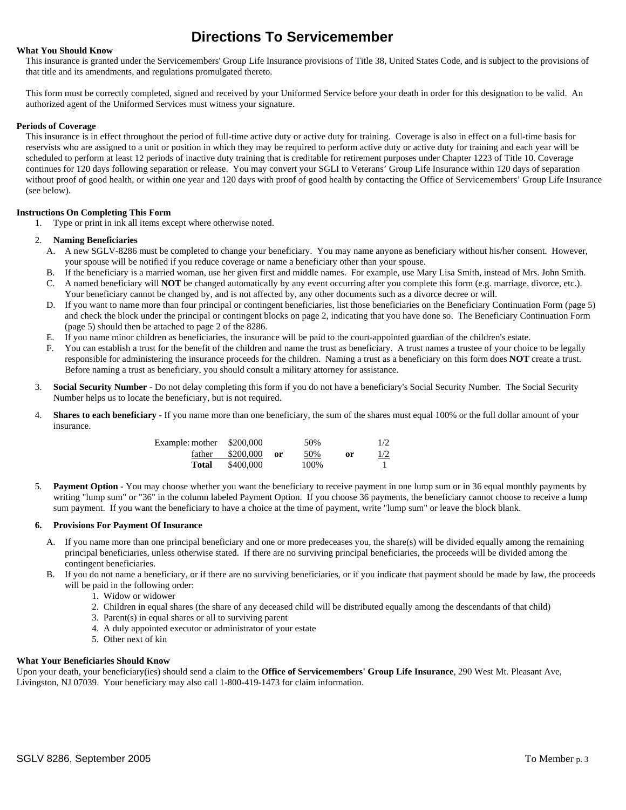## **Directions To Servicemember**

### **What You Should Know**

This insurance is granted under the Servicemembers' Group Life Insurance provisions of Title 38, United States Code, and is subject to the provisions of that title and its amendments, and regulations promulgated thereto.

This form must be correctly completed, signed and received by your Uniformed Service before your death in order for this designation to be valid. An authorized agent of the Uniformed Services must witness your signature.

### **Periods of Coverage**

This insurance is in effect throughout the period of full-time active duty or active duty for training. Coverage is also in effect on a full-time basis for reservists who are assigned to a unit or position in which they may be required to perform active duty or active duty for training and each year will be scheduled to perform at least 12 periods of inactive duty training that is creditable for retirement purposes under Chapter 1223 of Title 10. Coverage continues for 120 days following separation or release. You may convert your SGLI to Veterans' Group Life Insurance within 120 days of separation without proof of good health, or within one year and 120 days with proof of good health by contacting the Office of Servicemembers' Group Life Insurance (see below).

### **Instructions On Completing This Form**

1. Type or print in ink all items except where otherwise noted.

### 2. **Naming Beneficiaries**

- A. A new SGLV-8286 must be completed to change your beneficiary. You may name anyone as beneficiary without his/her consent. However, your spouse will be notified if you reduce coverage or name a beneficiary other than your spouse.
- B. If the beneficiary is a married woman, use her given first and middle names. For example, use Mary Lisa Smith, instead of Mrs. John Smith.
- C. A named beneficiary will **NOT** be changed automatically by any event occurring after you complete this form (e.g. marriage, divorce, etc.). Your beneficiary cannot be changed by, and is not affected by, any other documents such as a divorce decree or will.
- D. If you want to name more than four principal or contingent beneficiaries, list those beneficiaries on the Beneficiary Continuation Form (page 5) and check the block under the principal or contingent blocks on page 2, indicating that you have done so. The Beneficiary Continuation Form (page 5) should then be attached to page 2 of the 8286.
- E. If you name minor children as beneficiaries, the insurance will be paid to the court-appointed guardian of the children's estate.
- F. You can establish a trust for the benefit of the children and name the trust as beneficiary. A trust names a trustee of your choice to be legally responsible for administering the insurance proceeds for the children. Naming a trust as a beneficiary on this form does **NOT** create a trust. Before naming a trust as beneficiary, you should consult a military attorney for assistance.
- 3. **Social Security Number** Do not delay completing this form if you do not have a beneficiary's Social Security Number. The Social Security Number helps us to locate the beneficiary, but is not required.
- 4. **Shares to each beneficiary**  If you name more than one beneficiary, the sum of the shares must equal 100% or the full dollar amount of your insurance.

|       | Example: mother \$200,000<br>father $$200,000$ or | 50%<br>50% | or | 1/2<br>$\frac{1}{2}$ |
|-------|---------------------------------------------------|------------|----|----------------------|
|       |                                                   |            |    |                      |
| Total | \$400.000                                         | 100%       |    |                      |

5. **Payment Option** - You may choose whether you want the beneficiary to receive payment in one lump sum or in 36 equal monthly payments by writing "lump sum" or "36" in the column labeled Payment Option. If you choose 36 payments, the beneficiary cannot choose to receive a lump sum payment. If you want the beneficiary to have a choice at the time of payment, write "lump sum" or leave the block blank.

### **6. Provisions For Payment Of Insurance**

- A. If you name more than one principal beneficiary and one or more predeceases you, the share(s) will be divided equally among the remaining principal beneficiaries, unless otherwise stated. If there are no surviving principal beneficiaries, the proceeds will be divided among the contingent beneficiaries.
- B. If you do not name a beneficiary, or if there are no surviving beneficiaries, or if you indicate that payment should be made by law, the proceeds will be paid in the following order:
	- 1. Widow or widower
	- 2. Children in equal shares (the share of any deceased child will be distributed equally among the descendants of that child)
	- 3. Parent(s) in equal shares or all to surviving parent
	- 4. A duly appointed executor or administrator of your estate
	- 5. Other next of kin

### **What Your Beneficiaries Should Know**

Upon your death, your beneficiary(ies) should send a claim to the **Office of Servicemembers' Group Life Insurance**, 290 West Mt. Pleasant Ave, Livingston, NJ 07039. Your beneficiary may also call 1-800-419-1473 for claim information.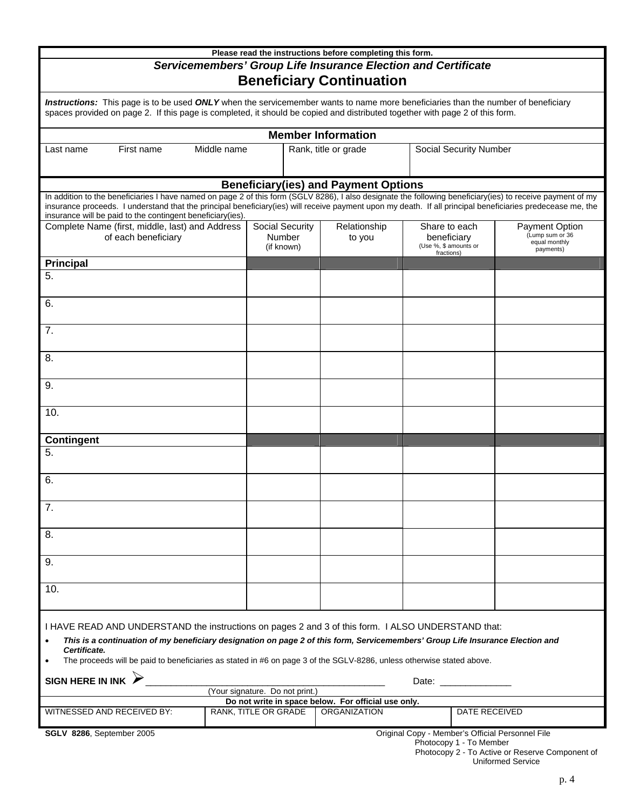| Please read the instructions before completing this form.                                                                                                                                                                                                                                                                                                                                                |                                                |                                              |                                                                     |                               |                                                                        |  |  |
|----------------------------------------------------------------------------------------------------------------------------------------------------------------------------------------------------------------------------------------------------------------------------------------------------------------------------------------------------------------------------------------------------------|------------------------------------------------|----------------------------------------------|---------------------------------------------------------------------|-------------------------------|------------------------------------------------------------------------|--|--|
| Servicemembers' Group Life Insurance Election and Certificate<br><b>Beneficiary Continuation</b>                                                                                                                                                                                                                                                                                                         |                                                |                                              |                                                                     |                               |                                                                        |  |  |
| Instructions: This page is to be used ONLY when the servicemember wants to name more beneficiaries than the number of beneficiary<br>spaces provided on page 2. If this page is completed, it should be copied and distributed together with page 2 of this form.                                                                                                                                        |                                                |                                              |                                                                     |                               |                                                                        |  |  |
| <b>Member Information</b>                                                                                                                                                                                                                                                                                                                                                                                |                                                |                                              |                                                                     |                               |                                                                        |  |  |
| Middle name<br>First name<br>Last name                                                                                                                                                                                                                                                                                                                                                                   | Rank, title or grade                           |                                              |                                                                     | <b>Social Security Number</b> |                                                                        |  |  |
|                                                                                                                                                                                                                                                                                                                                                                                                          |                                                | <b>Beneficiary (ies) and Payment Options</b> |                                                                     |                               |                                                                        |  |  |
| In addition to the beneficiaries I have named on page 2 of this form (SGLV 8286), I also designate the following beneficiary(ies) to receive payment of my<br>insurance proceeds. I understand that the principal beneficiary(ies) will receive payment upon my death. If all principal beneficiaries predecease me, the<br>insurance will be paid to the contingent beneficiary(ies).                   |                                                |                                              |                                                                     |                               |                                                                        |  |  |
| Complete Name (first, middle, last) and Address<br>of each beneficiary                                                                                                                                                                                                                                                                                                                                   | <b>Social Security</b><br>Number<br>(if known) | Relationship<br>to you                       | Share to each<br>beneficiary<br>(Use %, \$ amounts or<br>fractions) |                               | <b>Payment Option</b><br>(Lump sum or 36<br>equal monthly<br>payments) |  |  |
| <b>Principal</b>                                                                                                                                                                                                                                                                                                                                                                                         |                                                |                                              |                                                                     |                               |                                                                        |  |  |
| 5.                                                                                                                                                                                                                                                                                                                                                                                                       |                                                |                                              |                                                                     |                               |                                                                        |  |  |
| 6.                                                                                                                                                                                                                                                                                                                                                                                                       |                                                |                                              |                                                                     |                               |                                                                        |  |  |
| 7.                                                                                                                                                                                                                                                                                                                                                                                                       |                                                |                                              |                                                                     |                               |                                                                        |  |  |
| 8.                                                                                                                                                                                                                                                                                                                                                                                                       |                                                |                                              |                                                                     |                               |                                                                        |  |  |
| 9.                                                                                                                                                                                                                                                                                                                                                                                                       |                                                |                                              |                                                                     |                               |                                                                        |  |  |
| 10.                                                                                                                                                                                                                                                                                                                                                                                                      |                                                |                                              |                                                                     |                               |                                                                        |  |  |
| <b>Contingent</b>                                                                                                                                                                                                                                                                                                                                                                                        |                                                |                                              |                                                                     |                               |                                                                        |  |  |
| 5.                                                                                                                                                                                                                                                                                                                                                                                                       |                                                |                                              |                                                                     |                               |                                                                        |  |  |
| 6.                                                                                                                                                                                                                                                                                                                                                                                                       |                                                |                                              |                                                                     |                               |                                                                        |  |  |
| 7.                                                                                                                                                                                                                                                                                                                                                                                                       |                                                |                                              |                                                                     |                               |                                                                        |  |  |
| 8.                                                                                                                                                                                                                                                                                                                                                                                                       |                                                |                                              |                                                                     |                               |                                                                        |  |  |
| 9.                                                                                                                                                                                                                                                                                                                                                                                                       |                                                |                                              |                                                                     |                               |                                                                        |  |  |
| 10.                                                                                                                                                                                                                                                                                                                                                                                                      |                                                |                                              |                                                                     |                               |                                                                        |  |  |
| I HAVE READ AND UNDERSTAND the instructions on pages 2 and 3 of this form. I ALSO UNDERSTAND that:<br>This is a continuation of my beneficiary designation on page 2 of this form, Servicemembers' Group Life Insurance Election and<br>Certificate.<br>The proceeds will be paid to beneficiaries as stated in #6 on page 3 of the SGLV-8286, unless otherwise stated above.<br><b>SIGN HERE IN INK</b> |                                                |                                              |                                                                     |                               |                                                                        |  |  |
| Date: the contract of the contract of the contract of the contract of the contract of the contract of the contract of the contract of the contract of the contract of the contract of the contract of the contract of the cont<br>(Your signature. Do not print.)                                                                                                                                        |                                                |                                              |                                                                     |                               |                                                                        |  |  |
| Do not write in space below. For official use only.<br>RANK, TITLE OR GRADE<br><b>ORGANIZATION</b><br>WITNESSED AND RECEIVED BY:<br>DATE RECEIVED                                                                                                                                                                                                                                                        |                                                |                                              |                                                                     |                               |                                                                        |  |  |
| <b>SGLV 8286, September 2005</b><br>Original Copy - Member's Official Personnel File<br>Photocopy 1 - To Member<br>Photocopy 2 - To Active or Peserve Component of                                                                                                                                                                                                                                       |                                                |                                              |                                                                     |                               |                                                                        |  |  |

 Photocopy 2 - To Active or Reserve Component of Uniformed Service